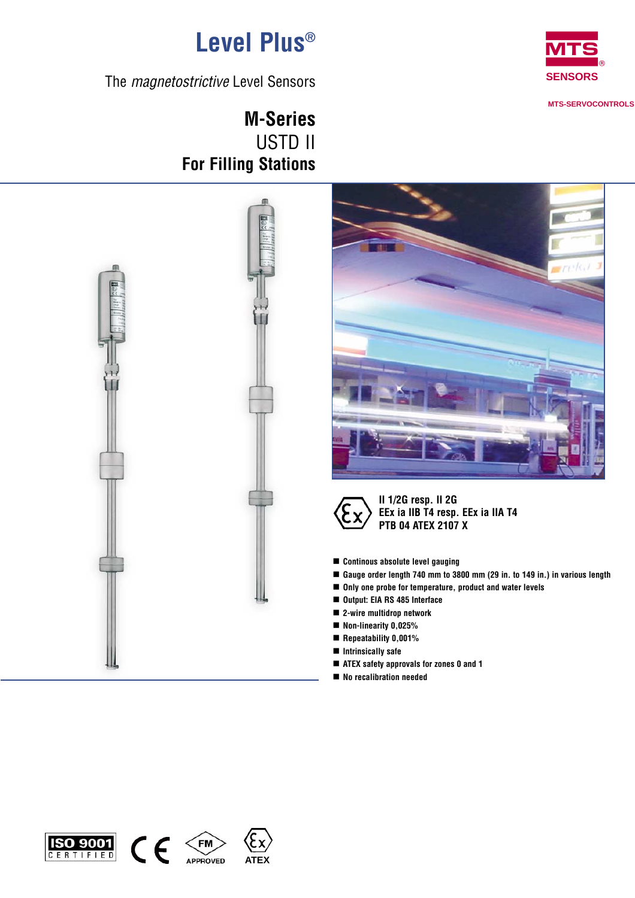

**MTS-SERVOCONTROLS** 

**Level Plus®**

The *magnetostrictive* Level Sensors

**M-Series** USTD II **For Filling Stations**







- **Continous absolute level gauging**
- Gauge order length 740 mm to 3800 mm (29 in. to 149 in.) in various length
- Only one probe for temperature, product and water levels
- -**Output: EIA RS 485 Interface**
- 2-wire multidrop network
- Non-linearity 0,025%
- **Repeatability 0,001%**
- $\blacksquare$  Intrinsically safe
- ATEX safety approvals for zones 0 and 1
- No recalibration needed





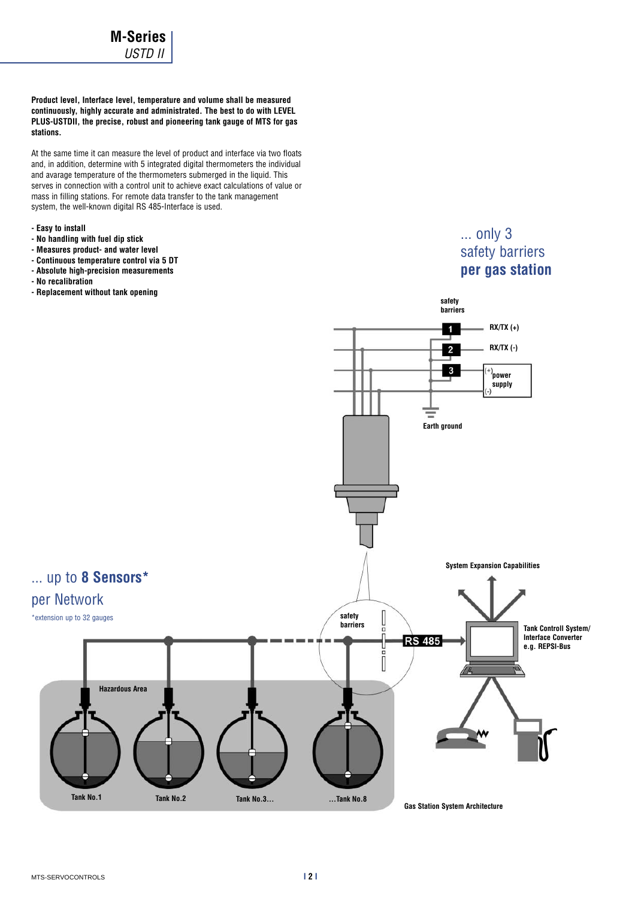**Product level, Interface level, temperature and volume shall be measured continuously, highly accurate and administrated. The best to do with LEVEL PLUS-USTDII, the precise, robust and pioneering tank gauge of MTS for gas stations.**

At the same time it can measure the level of product and interface via two floats and, in addition, determine with 5 integrated digital thermometers the individual and avarage temperature of the thermometers submerged in the liquid. This serves in connection with a control unit to achieve exact calculations of value or mass in filling stations. For remote data transfer to the tank management system, the well-known digital RS 485-Interface is used.

- **Easy to install**
- **No handling with fuel dip stick**
- **Measures product- and water level**
- **Continuous temperature control via 5 DT**
- **Absolute high-precision measurements**
- **No recalibration**
- **Replacement without tank opening**

# ... only 3 safety barriers **per gas station**

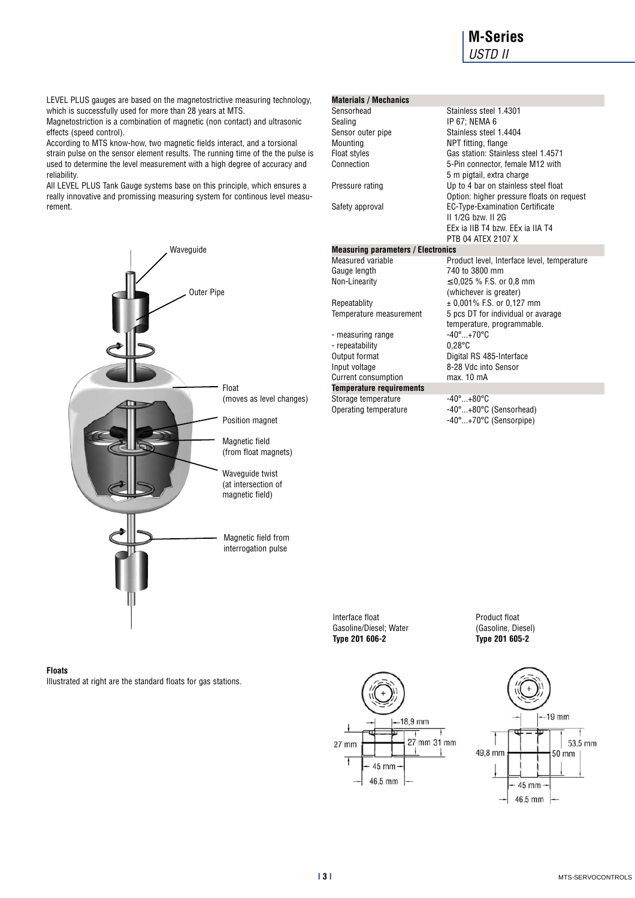# **M-Series** *USTD II*

LEVEL PLUS gauges are based on the magnetostrictive measuring technology, which is successfully used for more than 28 years at MTS.

Magnetostriction is a combination of magnetic (non contact) and ultrasonic effects (speed control).

According to MTS know-how, two magnetic fields interact, and a torsional strain pulse on the sensor element results. The running time of the the pulse is used to determine the level measurement with a high degree of accuracy and reliability.

All LEVEL PLUS Tank Gauge systems base on this principle, which ensures a really innovative and promissing measuring system for continous level measurement.



# **Floats** Illustrated at right are the standard floats for gas stations.

| <b>Materials / Mechanics</b>              |                                             |
|-------------------------------------------|---------------------------------------------|
| Sensorhead                                | Stainless steel 1.4301                      |
| Sealing                                   | IP 67; NEMA 6                               |
| Sensor outer pipe                         | Stainless steel 1.4404                      |
| Mounting                                  | NPT fitting, flange                         |
| Float styles                              | Gas station: Stainless steel 1.4571         |
| Connection                                | 5-Pin connector, female M12 with            |
|                                           | 5 m pigtail, extra charge                   |
| Pressure rating                           | Up to 4 bar on stainless steel float        |
|                                           | Option: higher pressure floats on request   |
| Safety approval                           | EC-Type-Examination Certificate             |
|                                           | II 1/2G hzw. II 2G                          |
|                                           | FFx ia IIB T4 hzw. FFx ia IIA T4            |
|                                           | PTR 04 ATFX 2107 X                          |
| <b>Measuring parameters / Electronics</b> |                                             |
| Measured variable                         | Product level, Interface level, temperature |
| Gauge length                              | 740 to 3800 mm                              |
| Non-Linearity                             | $\leq$ 0.025 % F.S. or 0.8 mm               |
|                                           | (whichever is greater)                      |
| Repeatablity                              | ± 0,001% F.S. or 0,127 mm                   |
| Temperature measurement                   | 5 pcs DT for individual or avarage          |
|                                           | temperature, programmable.                  |
| - measuring range                         | $-40^{\circ}$ +70 $^{\circ}$ C              |
| - repeatability                           | $0.28^{\circ}$ C                            |
| Output format                             | Digital RS 485-Interface                    |
| Input voltage                             | 8-28 Vdc into Sensor                        |
| <b>Current consumption</b>                | max. 10 mA                                  |
| <b>Temperature requirements</b>           |                                             |
| Storage temperature                       | $-40^{\circ}$ +80 $^{\circ}$ C              |
| Operating temperature                     | -40°+80°C (Sensorhead)                      |
|                                           | -40°+70°C (Sensorpipe)                      |

Interface float Gasoline/Diesel; Water **Type 201 606-2**



Product float (Gasoline, Diesel) **Type 201 605-2**